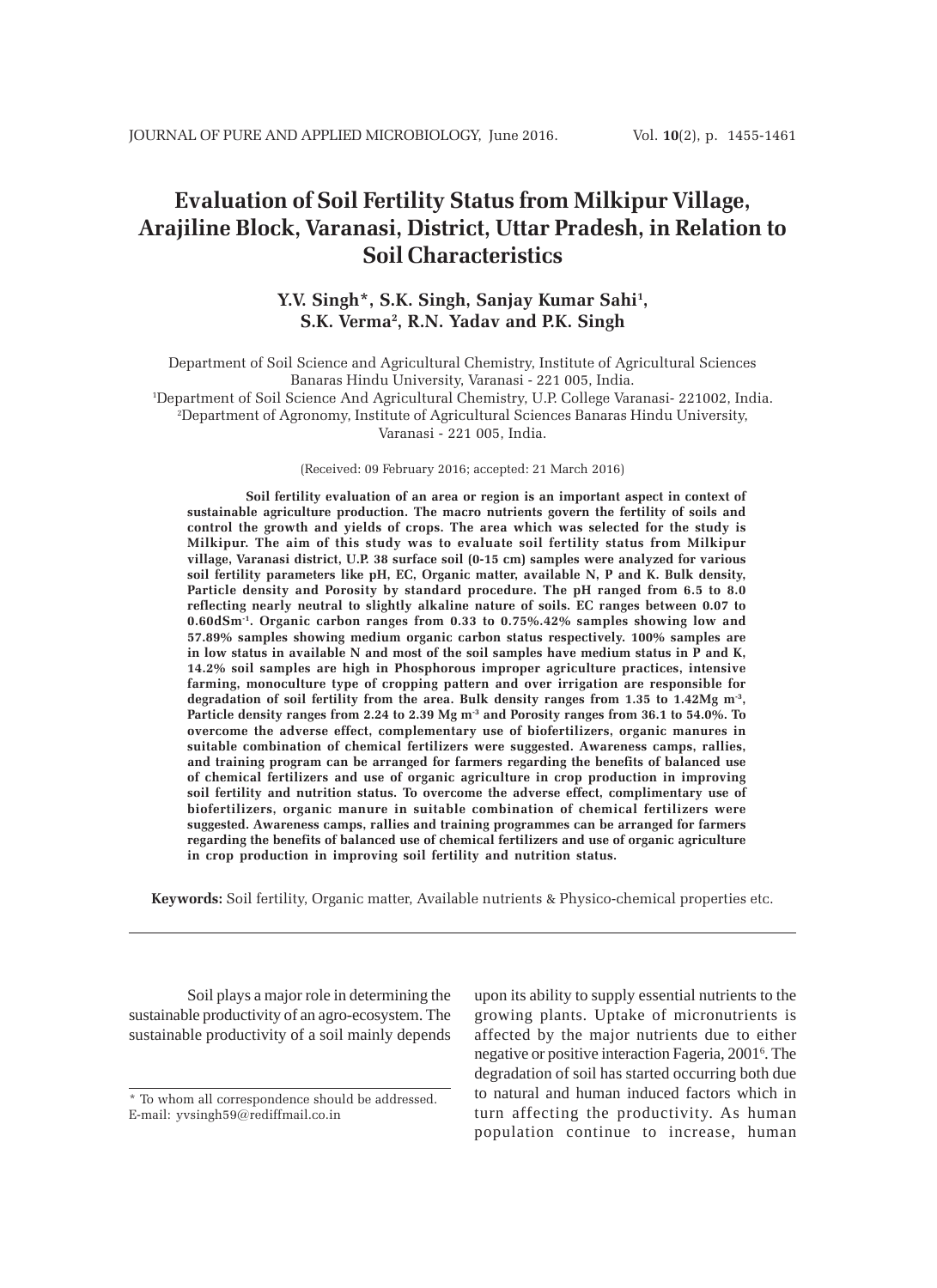# **Evaluation of Soil Fertility Status from Milkipur Village, Arajiline Block, Varanasi, District, Uttar Pradesh, in Relation to Soil Characteristics**

# **Y.V. Singh\*, S.K. Singh, Sanjay Kumar Sahi1 , S.K. Verma2 , R.N. Yadav and P.K. Singh**

Department of Soil Science and Agricultural Chemistry, Institute of Agricultural Sciences Banaras Hindu University, Varanasi - 221 005, India. 1 Department of Soil Science And Agricultural Chemistry, U.P. College Varanasi- 221002, India. 2 Department of Agronomy, Institute of Agricultural Sciences Banaras Hindu University,

Varanasi - 221 005, India.

(Received: 09 February 2016; accepted: 21 March 2016)

**Soil fertility evaluation of an area or region is an important aspect in context of sustainable agriculture production. The macro nutrients govern the fertility of soils and control the growth and yields of crops. The area which was selected for the study is Milkipur. The aim of this study was to evaluate soil fertility status from Milkipur village, Varanasi district, U.P. 38 surface soil (0-15 cm) samples were analyzed for various soil fertility parameters like pH, EC, Organic matter, available N, P and K. Bulk density, Particle density and Porosity by standard procedure. The pH ranged from 6.5 to 8.0 reflecting nearly neutral to slightly alkaline nature of soils. EC ranges between 0.07 to 0.60dSm-1. Organic carbon ranges from 0.33 to 0.75%.42% samples showing low and 57.89% samples showing medium organic carbon status respectively. 100% samples are in low status in available N and most of the soil samples have medium status in P and K, 14.2% soil samples are high in Phosphorous improper agriculture practices, intensive farming, monoculture type of cropping pattern and over irrigation are responsible for degradation of soil fertility from the area. Bulk density ranges from 1.35 to 1.42Mg m-3, Particle density ranges from 2.24 to 2.39 Mg m-3 and Porosity ranges from 36.1 to 54.0%. To overcome the adverse effect, complementary use of biofertilizers, organic manures in suitable combination of chemical fertilizers were suggested. Awareness camps, rallies, and training program can be arranged for farmers regarding the benefits of balanced use of chemical fertilizers and use of organic agriculture in crop production in improving soil fertility and nutrition status. To overcome the adverse effect, complimentary use of biofertilizers, organic manure in suitable combination of chemical fertilizers were suggested. Awareness camps, rallies and training programmes can be arranged for farmers regarding the benefits of balanced use of chemical fertilizers and use of organic agriculture in crop production in improving soil fertility and nutrition status.**

**Keywords:** Soil fertility, Organic matter, Available nutrients & Physico-chemical properties etc.

Soil plays a major role in determining the sustainable productivity of an agro-ecosystem. The sustainable productivity of a soil mainly depends upon its ability to supply essential nutrients to the growing plants. Uptake of micronutrients is affected by the major nutrients due to either negative or positive interaction Fageria, 2001<sup>6</sup>. The degradation of soil has started occurring both due to natural and human induced factors which in turn affecting the productivity. As human population continue to increase, human

<sup>\*</sup> To whom all correspondence should be addressed. E-mail: yvsingh59@rediffmail.co.in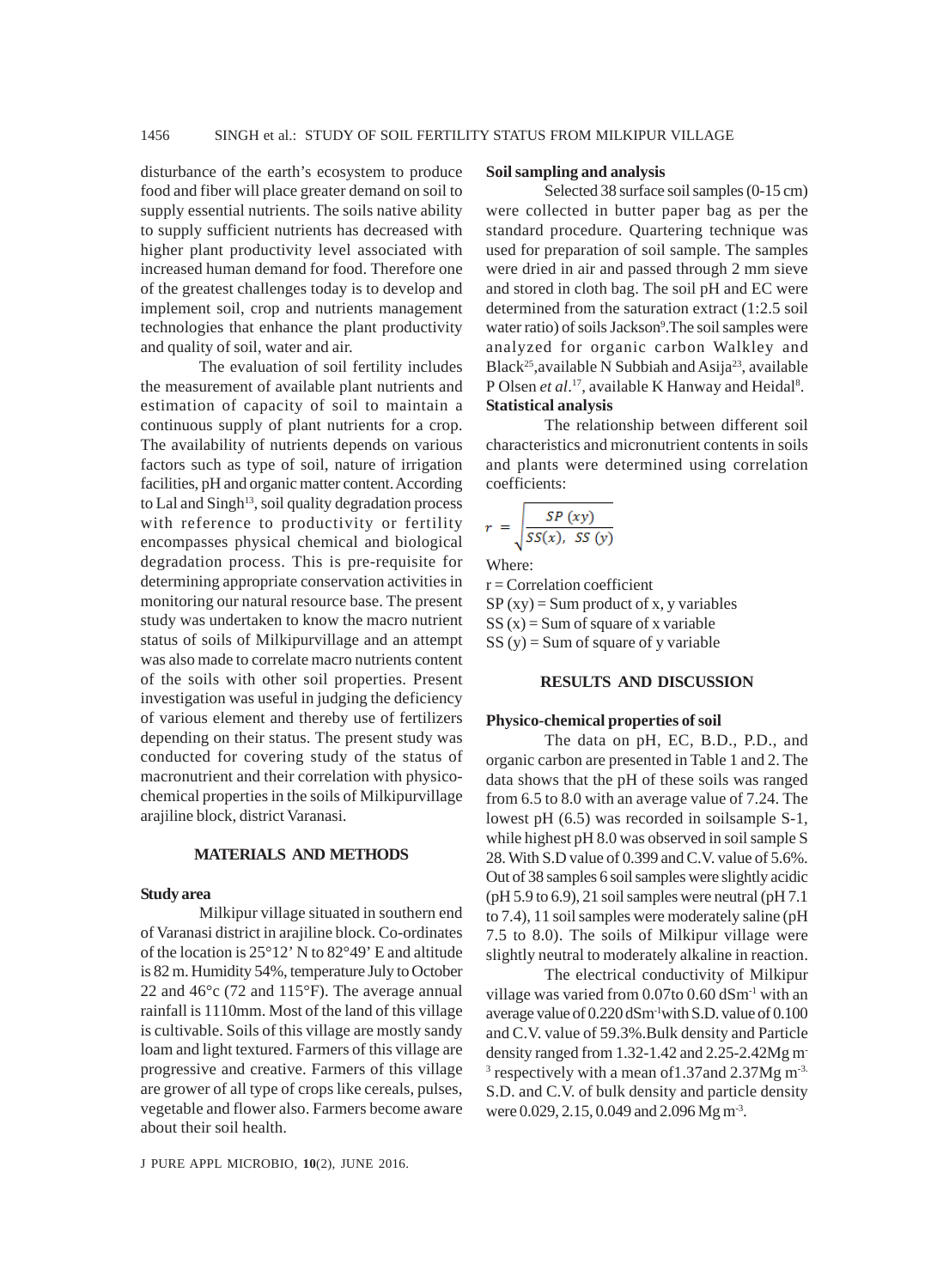disturbance of the earth's ecosystem to produce food and fiber will place greater demand on soil to supply essential nutrients. The soils native ability to supply sufficient nutrients has decreased with higher plant productivity level associated with increased human demand for food. Therefore one of the greatest challenges today is to develop and implement soil, crop and nutrients management technologies that enhance the plant productivity and quality of soil, water and air.

The evaluation of soil fertility includes the measurement of available plant nutrients and estimation of capacity of soil to maintain a continuous supply of plant nutrients for a crop. The availability of nutrients depends on various factors such as type of soil, nature of irrigation facilities, pH and organic matter content. According to Lal and Singh<sup>13</sup>, soil quality degradation process with reference to productivity or fertility encompasses physical chemical and biological degradation process. This is pre-requisite for determining appropriate conservation activities in monitoring our natural resource base. The present study was undertaken to know the macro nutrient status of soils of Milkipurvillage and an attempt was also made to correlate macro nutrients content of the soils with other soil properties. Present investigation was useful in judging the deficiency of various element and thereby use of fertilizers depending on their status. The present study was conducted for covering study of the status of macronutrient and their correlation with physicochemical properties in the soils of Milkipurvillage arajiline block, district Varanasi.

#### **MATERIALS AND METHODS**

#### **Study area**

Milkipur village situated in southern end of Varanasi district in arajiline block. Co-ordinates of the location is 25°12' N to 82°49' E and altitude is 82 m. Humidity 54%, temperature July to October 22 and 46°c (72 and 115°F). The average annual rainfall is 1110mm. Most of the land of this village is cultivable. Soils of this village are mostly sandy loam and light textured. Farmers of this village are progressive and creative. Farmers of this village are grower of all type of crops like cereals, pulses, vegetable and flower also. Farmers become aware about their soil health.

#### J PURE APPL MICROBIO*,* **10**(2), JUNE 2016.

# **Soil sampling and analysis**

Selected 38 surface soil samples (0-15 cm) were collected in butter paper bag as per the standard procedure. Quartering technique was used for preparation of soil sample. The samples were dried in air and passed through 2 mm sieve and stored in cloth bag. The soil pH and EC were determined from the saturation extract (1:2.5 soil water ratio) of soils Jackson<sup>9</sup>. The soil samples were analyzed for organic carbon Walkley and Black<sup>25</sup>, available N Subbiah and Asija<sup>23</sup>, available P Olsen et al.<sup>17</sup>, available K Hanway and Heidal<sup>8</sup>. **Statistical analysis**

The relationship between different soil characteristics and micronutrient contents in soils and plants were determined using correlation coefficients:

$$
r = \sqrt{\frac{SP\ (xy)}{SS(x),\ SS\ (y)}}
$$

Where:

 $r =$ Correlation coefficient  $SP (xy) = Sum product of x, y variables$  $SS(x) = Sum of square of x variable$  $SS(y) = Sum of square of y variable$ 

#### **RESULTS AND DISCUSSION**

#### **Physico-chemical properties of soil**

The data on pH, EC, B.D., P.D., and organic carbon are presented in Table 1 and 2. The data shows that the pH of these soils was ranged from 6.5 to 8.0 with an average value of 7.24. The lowest pH (6.5) was recorded in soilsample S-1, while highest pH 8.0 was observed in soil sample S 28. With S.D value of 0.399 and C.V. value of 5.6%. Out of 38 samples 6 soil samples were slightly acidic (pH 5.9 to 6.9), 21 soil samples were neutral (pH 7.1 to 7.4), 11 soil samples were moderately saline (pH 7.5 to 8.0). The soils of Milkipur village were slightly neutral to moderately alkaline in reaction.

The electrical conductivity of Milkipur village was varied from  $0.07$  to  $0.60$  dSm<sup>-1</sup> with an average value of 0.220 dSm-1with S.D. value of 0.100 and C.V. value of 59.3%.Bulk density and Particle density ranged from 1.32-1.42 and 2.25-2.42Mg m-<sup>3</sup> respectively with a mean of 1.37 and 2.37Mg m<sup>-3.</sup> S.D. and C.V. of bulk density and particle density were 0.029, 2.15, 0.049 and 2.096 Mg m<sup>-3</sup>.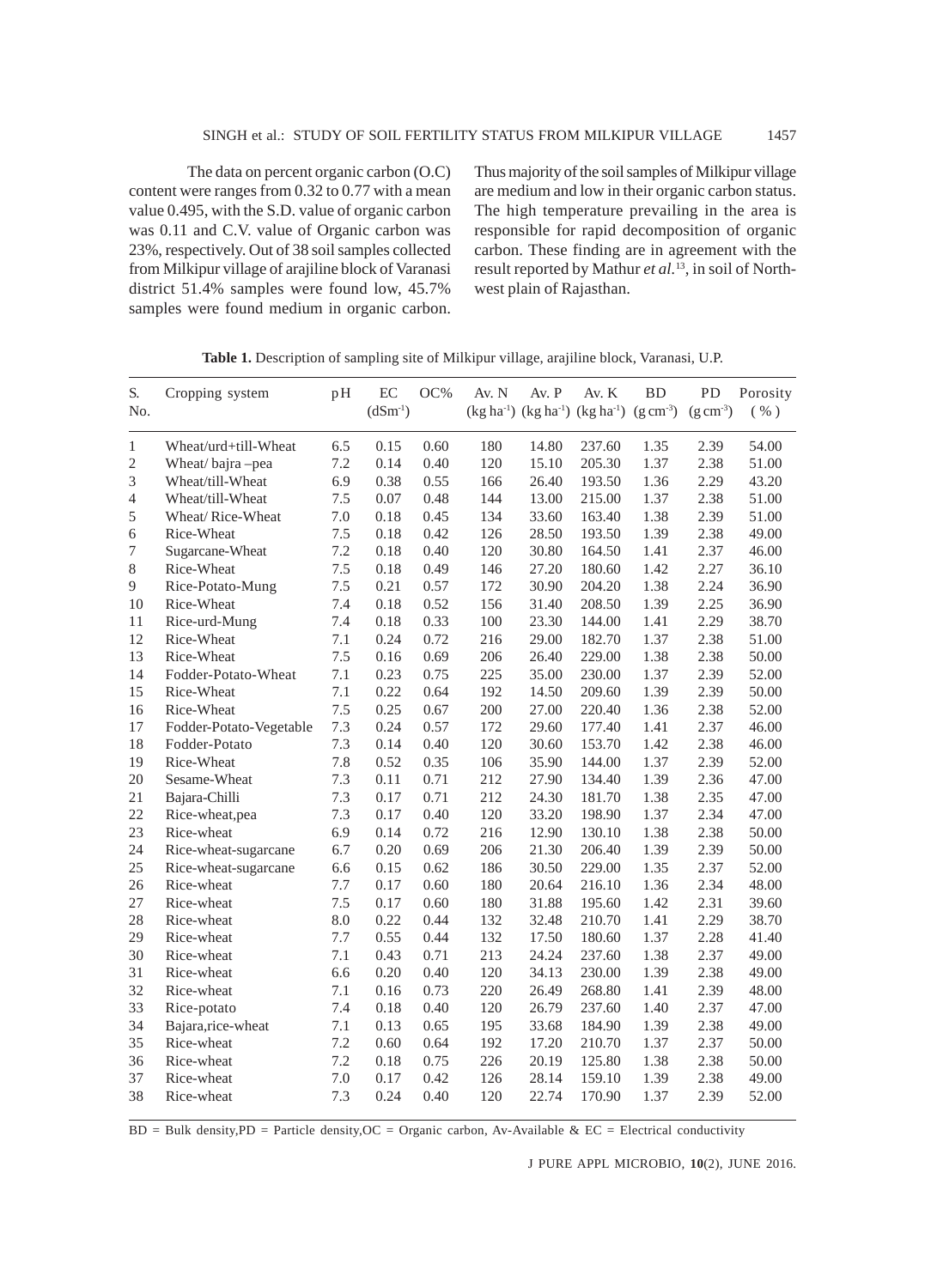The data on percent organic carbon (O.C) content were ranges from 0.32 to 0.77 with a mean value 0.495, with the S.D. value of organic carbon was 0.11 and C.V. value of Organic carbon was 23%, respectively. Out of 38 soil samples collected from Milkipur village of arajiline block of Varanasi district 51.4% samples were found low, 45.7% samples were found medium in organic carbon. Thus majority of the soil samples of Milkipur village are medium and low in their organic carbon status. The high temperature prevailing in the area is responsible for rapid decomposition of organic carbon. These finding are in agreement with the result reported by Mathur *et al.*13, in soil of Northwest plain of Rajasthan.

| S.<br>No.      | Cropping system         | pH  | EC<br>$(dSm^{-1})$ | OC%  | Av. N | Av. P | Av. K<br>$(kg ha^{-1})$ $(kg ha^{-1})$ $(kg ha^{-1})$ $(g cm^{-3})$ | BD   | PD<br>$(g \, cm^{-3})$ | Porosity<br>( %) |
|----------------|-------------------------|-----|--------------------|------|-------|-------|---------------------------------------------------------------------|------|------------------------|------------------|
|                |                         |     |                    |      |       |       |                                                                     |      |                        |                  |
| 1              | Wheat/urd+till-Wheat    | 6.5 | 0.15               | 0.60 | 180   | 14.80 | 237.60                                                              | 1.35 | 2.39                   | 54.00            |
| $\mathfrak{2}$ | Wheat/bajra-pea         | 7.2 | 0.14               | 0.40 | 120   | 15.10 | 205.30                                                              | 1.37 | 2.38                   | 51.00            |
| 3              | Wheat/till-Wheat        | 6.9 | 0.38               | 0.55 | 166   | 26.40 | 193.50                                                              | 1.36 | 2.29                   | 43.20            |
| 4              | Wheat/till-Wheat        | 7.5 | 0.07               | 0.48 | 144   | 13.00 | 215.00                                                              | 1.37 | 2.38                   | 51.00            |
| 5              | Wheat/Rice-Wheat        | 7.0 | 0.18               | 0.45 | 134   | 33.60 | 163.40                                                              | 1.38 | 2.39                   | 51.00            |
| 6              | Rice-Wheat              | 7.5 | 0.18               | 0.42 | 126   | 28.50 | 193.50                                                              | 1.39 | 2.38                   | 49.00            |
| 7              | Sugarcane-Wheat         | 7.2 | 0.18               | 0.40 | 120   | 30.80 | 164.50                                                              | 1.41 | 2.37                   | 46.00            |
| 8              | Rice-Wheat              | 7.5 | 0.18               | 0.49 | 146   | 27.20 | 180.60                                                              | 1.42 | 2.27                   | 36.10            |
| 9              | Rice-Potato-Mung        | 7.5 | 0.21               | 0.57 | 172   | 30.90 | 204.20                                                              | 1.38 | 2.24                   | 36.90            |
| 10             | Rice-Wheat              | 7.4 | 0.18               | 0.52 | 156   | 31.40 | 208.50                                                              | 1.39 | 2.25                   | 36.90            |
| 11             | Rice-urd-Mung           | 7.4 | 0.18               | 0.33 | 100   | 23.30 | 144.00                                                              | 1.41 | 2.29                   | 38.70            |
| 12             | Rice-Wheat              | 7.1 | 0.24               | 0.72 | 216   | 29.00 | 182.70                                                              | 1.37 | 2.38                   | 51.00            |
| 13             | Rice-Wheat              | 7.5 | 0.16               | 0.69 | 206   | 26.40 | 229.00                                                              | 1.38 | 2.38                   | 50.00            |
| 14             | Fodder-Potato-Wheat     | 7.1 | 0.23               | 0.75 | 225   | 35.00 | 230.00                                                              | 1.37 | 2.39                   | 52.00            |
| 15             | Rice-Wheat              | 7.1 | 0.22               | 0.64 | 192   | 14.50 | 209.60                                                              | 1.39 | 2.39                   | 50.00            |
| 16             | Rice-Wheat              | 7.5 | 0.25               | 0.67 | 200   | 27.00 | 220.40                                                              | 1.36 | 2.38                   | 52.00            |
| 17             | Fodder-Potato-Vegetable | 7.3 | 0.24               | 0.57 | 172   | 29.60 | 177.40                                                              | 1.41 | 2.37                   | 46.00            |
| 18             | Fodder-Potato           | 7.3 | 0.14               | 0.40 | 120   | 30.60 | 153.70                                                              | 1.42 | 2.38                   | 46.00            |
| 19             | Rice-Wheat              | 7.8 | 0.52               | 0.35 | 106   | 35.90 | 144.00                                                              | 1.37 | 2.39                   | 52.00            |
| 20             | Sesame-Wheat            | 7.3 | 0.11               | 0.71 | 212   | 27.90 | 134.40                                                              | 1.39 | 2.36                   | 47.00            |
| 21             | Bajara-Chilli           | 7.3 | 0.17               | 0.71 | 212   | 24.30 | 181.70                                                              | 1.38 | 2.35                   | 47.00            |
| 22             | Rice-wheat, pea         | 7.3 | 0.17               | 0.40 | 120   | 33.20 | 198.90                                                              | 1.37 | 2.34                   | 47.00            |
| 23             | Rice-wheat              | 6.9 | 0.14               | 0.72 | 216   | 12.90 | 130.10                                                              | 1.38 | 2.38                   | 50.00            |
| 24             | Rice-wheat-sugarcane    | 6.7 | 0.20               | 0.69 | 206   | 21.30 | 206.40                                                              | 1.39 | 2.39                   | 50.00            |
| 25             | Rice-wheat-sugarcane    | 6.6 | 0.15               | 0.62 | 186   | 30.50 | 229.00                                                              | 1.35 | 2.37                   | 52.00            |
| 26             | Rice-wheat              | 7.7 | 0.17               | 0.60 | 180   | 20.64 | 216.10                                                              | 1.36 | 2.34                   | 48.00            |
| 27             | Rice-wheat              | 7.5 | 0.17               | 0.60 | 180   | 31.88 | 195.60                                                              | 1.42 | 2.31                   | 39.60            |
| 28             | Rice-wheat              | 8.0 | 0.22               | 0.44 | 132   | 32.48 | 210.70                                                              | 1.41 | 2.29                   | 38.70            |
| 29             | Rice-wheat              | 7.7 | 0.55               | 0.44 | 132   | 17.50 | 180.60                                                              | 1.37 | 2.28                   | 41.40            |
| 30             | Rice-wheat              | 7.1 | 0.43               | 0.71 | 213   | 24.24 | 237.60                                                              | 1.38 | 2.37                   | 49.00            |
| 31             | Rice-wheat              | 6.6 | 0.20               | 0.40 | 120   | 34.13 | 230.00                                                              | 1.39 | 2.38                   | 49.00            |
| 32             | Rice-wheat              | 7.1 | 0.16               | 0.73 | 220   | 26.49 | 268.80                                                              | 1.41 | 2.39                   | 48.00            |
| 33             | Rice-potato             | 7.4 | 0.18               | 0.40 | 120   | 26.79 | 237.60                                                              | 1.40 | 2.37                   | 47.00            |
| 34             | Bajara, rice-wheat      | 7.1 | 0.13               | 0.65 | 195   | 33.68 | 184.90                                                              | 1.39 | 2.38                   | 49.00            |
| 35             | Rice-wheat              | 7.2 | 0.60               | 0.64 | 192   | 17.20 | 210.70                                                              | 1.37 | 2.37                   | 50.00            |
| 36             | Rice-wheat              | 7.2 | 0.18               | 0.75 | 226   | 20.19 | 125.80                                                              | 1.38 | 2.38                   | 50.00            |
| 37             | Rice-wheat              | 7.0 | 0.17               | 0.42 | 126   | 28.14 | 159.10                                                              | 1.39 | 2.38                   | 49.00            |
| 38             | Rice-wheat              | 7.3 | 0.24               | 0.40 | 120   | 22.74 | 170.90                                                              | 1.37 | 2.39                   | 52.00            |

**Table 1.** Description of sampling site of Milkipur village, arajiline block, Varanasi, U.P.

 $BD = Bulk density, PD = Particle density, OC = Organization, Av-Available & EC = Electrical conductivity$ 

J PURE APPL MICROBIO*,* **10**(2), JUNE 2016.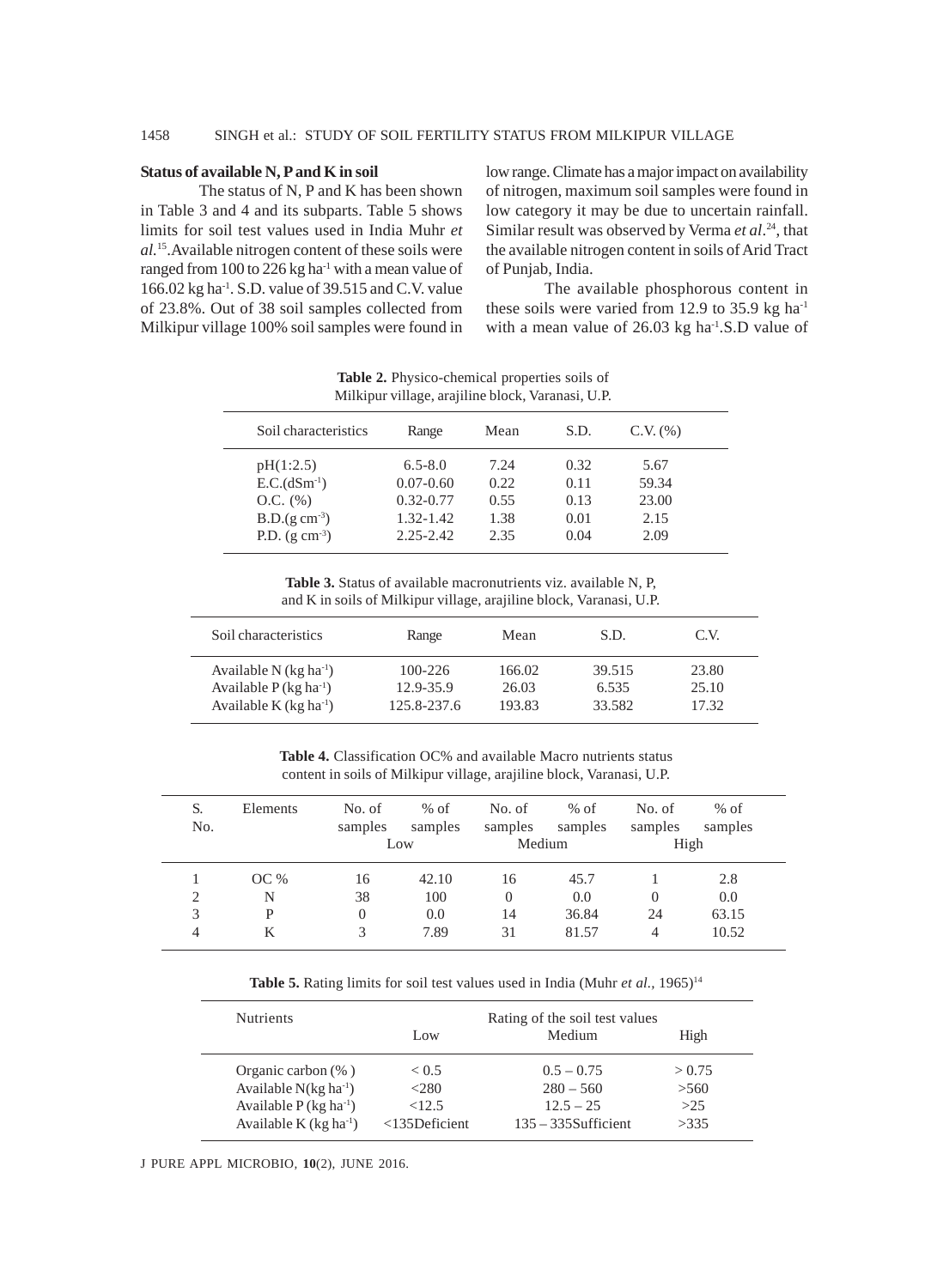# **Status of available N, P and K in soil**

The status of N, P and K has been shown in Table 3 and 4 and its subparts. Table 5 shows limits for soil test values used in India Muhr *et al.*15.Available nitrogen content of these soils were ranged from 100 to 226 kg ha $^{-1}$  with a mean value of 166.02 kg ha-1. S.D. value of 39.515 and C.V. value of 23.8%. Out of 38 soil samples collected from Milkipur village 100% soil samples were found in low range. Climate has a major impact on availability of nitrogen, maximum soil samples were found in low category it may be due to uncertain rainfall. Similar result was observed by Verma *et al*. 24, that the available nitrogen content in soils of Arid Tract of Punjab, India.

The available phosphorous content in these soils were varied from 12.9 to 35.9 kg ha-1 with a mean value of 26.03 kg ha-1.S.D value of

|                                                               | Milkipur village, arajiline block, Varanasi, U.P.          |                              |                              |                                |  |  |  |  |  |
|---------------------------------------------------------------|------------------------------------------------------------|------------------------------|------------------------------|--------------------------------|--|--|--|--|--|
| Soil characteristics                                          | Range                                                      | Mean                         | S.D.                         | $C.V.$ $(\% )$                 |  |  |  |  |  |
| pH(1:2.5)<br>$E.C.(dSm-1)$<br>$O.C.$ $(\%)$<br>$B.D.(g cm-3)$ | $6.5 - 8.0$<br>$0.07 - 0.60$<br>$0.32 - 0.77$<br>1.32-1.42 | 7.24<br>0.22<br>0.55<br>1.38 | 0.32<br>0.11<br>0.13<br>0.01 | 5.67<br>59.34<br>23.00<br>2.15 |  |  |  |  |  |
| P.D. $(g \text{ cm}^{-3})$                                    | $2.25 - 2.42$                                              | 2.35                         | 0.04                         | 2.09                           |  |  |  |  |  |

**Table 2.** Physico-chemical properties soils of

**Table 3.** Status of available macronutrients viz. available N, P, and K in soils of Milkipur village, arajiline block, Varanasi, U.P.

| Soil characteristics                 | Range       | Mean   | S.D.   | C.V.  |  |
|--------------------------------------|-------------|--------|--------|-------|--|
| Available N $(kg ha^{-1})$           | $100 - 226$ | 166.02 | 39.515 | 23.80 |  |
| Available $P$ (kg ha <sup>-1</sup> ) | 12.9-35.9   | 26.03  | 6.535  | 25.10 |  |
| Available K $(kg ha^{-1})$           | 125.8-237.6 | 193.83 | 33.582 | 17.32 |  |

**Table 4.** Classification OC% and available Macro nutrients status content in soils of Milkipur village, arajiline block, Varanasi, U.P.

| S.<br>No.      | Elements | No. of<br>samples | $%$ of<br>samples<br>Low | No. of<br>samples<br>Medium | $%$ of<br>samples | No. of<br>samples<br>High | $%$ of<br>samples |
|----------------|----------|-------------------|--------------------------|-----------------------------|-------------------|---------------------------|-------------------|
|                | OC%      | 16                | 42.10                    | 16                          | 45.7              |                           | 2.8               |
| $\overline{c}$ | N        | 38                | 100                      | $\Omega$                    | 0.0               |                           | 0.0               |
| 3              | P        | $\Omega$          | 0.0                      | 14                          | 36.84             | 24                        | 63.15             |
| 4              | K        | 3                 | 7.89                     | 31                          | 81.57             | 4                         | 10.52             |

Table 5. Rating limits for soil test values used in India (Muhr *et al.*, 1965)<sup>14</sup>

| <b>Nutrients</b>                     | Rating of the soil test values |                        |        |
|--------------------------------------|--------------------------------|------------------------|--------|
|                                      | Low                            | Medium                 | High   |
| Organic carbon $(\% )$               | < 0.5                          | $0.5 - 0.75$           | > 0.75 |
| Available $N(kg ha^{-1})$            | <280                           | $280 - 560$            | >560   |
| Available $P$ (kg ha <sup>-1</sup> ) | <12.5                          | $12.5 - 25$            | >25    |
| Available K $(kg ha-1)$              | $<$ 135Deficient               | $135 - 335$ Sufficient | >335   |

J PURE APPL MICROBIO*,* **10**(2), JUNE 2016.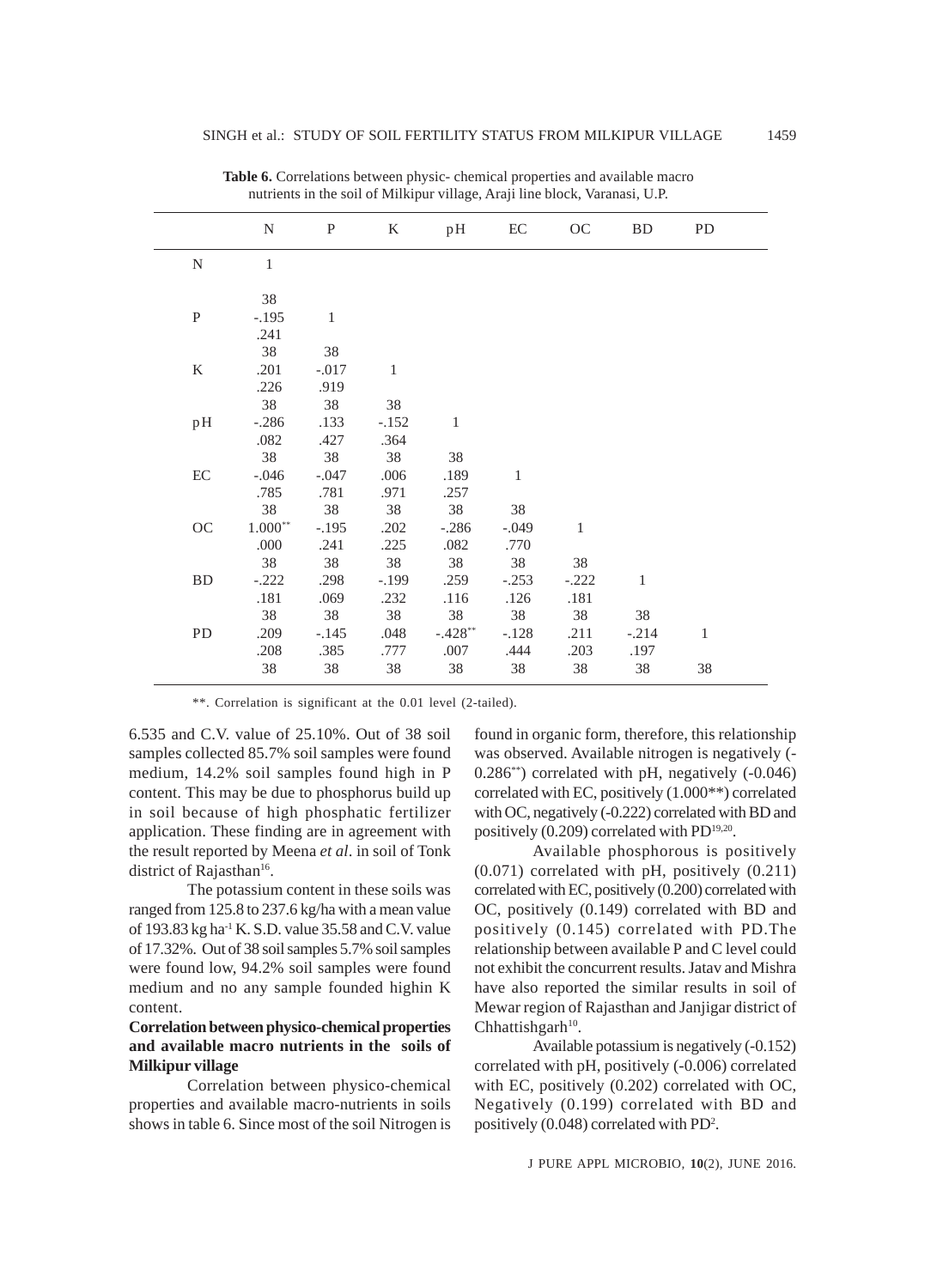|                     | N         | $\mathbf{P}$ | $\rm K$      | pH           | $\operatorname{EC}$ | OC           | <b>BD</b> | PD           |  |
|---------------------|-----------|--------------|--------------|--------------|---------------------|--------------|-----------|--------------|--|
| ${\bf N}$           | $\,1$     |              |              |              |                     |              |           |              |  |
|                     | 38        |              |              |              |                     |              |           |              |  |
| ${\bf P}$           | $-.195$   | $\mathbf{1}$ |              |              |                     |              |           |              |  |
|                     | .241      |              |              |              |                     |              |           |              |  |
|                     | 38        | 38           |              |              |                     |              |           |              |  |
| $\rm K$             | .201      | $-.017$      | $\mathbf{1}$ |              |                     |              |           |              |  |
|                     | .226      | .919         |              |              |                     |              |           |              |  |
|                     | 38        | 38           | 38           |              |                     |              |           |              |  |
| pH                  | $-.286$   | .133         | $-.152$      | $\mathbf{1}$ |                     |              |           |              |  |
|                     | .082      | .427         | .364         |              |                     |              |           |              |  |
|                     | 38        | 38           | 38           | 38           |                     |              |           |              |  |
| $\operatorname{EC}$ | $-.046$   | $-.047$      | .006         | .189         | $\,1$               |              |           |              |  |
|                     | .785      | .781         | .971         | .257         |                     |              |           |              |  |
|                     | 38        | 38           | 38           | 38           | 38                  |              |           |              |  |
| OC                  | $1.000**$ | $-.195$      | .202         | $-.286$      | $-.049$             | $\mathbf{1}$ |           |              |  |
|                     | .000      | .241         | .225         | .082         | .770                |              |           |              |  |
|                     | 38        | 38           | 38           | 38           | 38                  | 38           |           |              |  |
| <b>BD</b>           | $-.222$   | .298         | $-.199$      | .259         | $-.253$             | $-.222$      | $\,1$     |              |  |
|                     | .181      | .069         | .232         | .116         | .126                | .181         |           |              |  |
|                     | 38        | 38           | 38           | 38           | 38                  | 38           | 38        |              |  |
| PD                  | .209      | $-.145$      | .048         | $-.428**$    | $-.128$             | .211         | $-.214$   | $\mathbf{1}$ |  |
|                     | .208      | .385         | .777         | .007         | .444                | .203         | .197      |              |  |
|                     | 38        | 38           | 38           | 38           | 38                  | 38           | 38        | 38           |  |
|                     |           |              |              |              |                     |              |           |              |  |

Table 6. Correlations between physic- chemical properties and available macro nutrients in the soil of Milkipur village, Araji line block, Varanasi, U.P.

\*\*. Correlation is significant at the 0.01 level (2-tailed).

6.535 and C.V. value of 25.10%. Out of 38 soil samples collected 85.7% soil samples were found medium, 14.2% soil samples found high in P content. This may be due to phosphorus build up in soil because of high phosphatic fertilizer application. These finding are in agreement with the result reported by Meena *et al*. in soil of Tonk district of Rajasthan<sup>16</sup>.

The potassium content in these soils was ranged from 125.8 to 237.6 kg/ha with a mean value of 193.83 kg ha-1 K. S.D. value 35.58 and C.V. value of 17.32%. Out of 38 soil samples 5.7% soil samples were found low, 94.2% soil samples were found medium and no any sample founded highin K content.

# **Correlation between physico-chemical properties and available macro nutrients in the soils of Milkipur village**

Correlation between physico-chemical properties and available macro-nutrients in soils shows in table 6. Since most of the soil Nitrogen is found in organic form, therefore, this relationship was observed. Available nitrogen is negatively (-  $0.286^{**}$ ) correlated with pH, negatively  $(-0.046)$ correlated with EC, positively (1.000\*\*) correlated with OC, negatively (-0.222) correlated with BD and positively (0.209) correlated with PD<sup>19,20</sup>.

Available phosphorous is positively (0.071) correlated with pH, positively (0.211) correlated with EC, positively (0.200) correlated with OC, positively (0.149) correlated with BD and positively (0.145) correlated with PD.The relationship between available P and C level could not exhibit the concurrent results. Jatav and Mishra have also reported the similar results in soil of Mewar region of Rajasthan and Janjigar district of  $Chhattishgarh<sup>10</sup>$ .

Available potassium is negatively (-0.152) correlated with pH, positively (-0.006) correlated with EC, positively (0.202) correlated with OC, Negatively (0.199) correlated with BD and positively (0.048) correlated with PD<sup>2</sup>.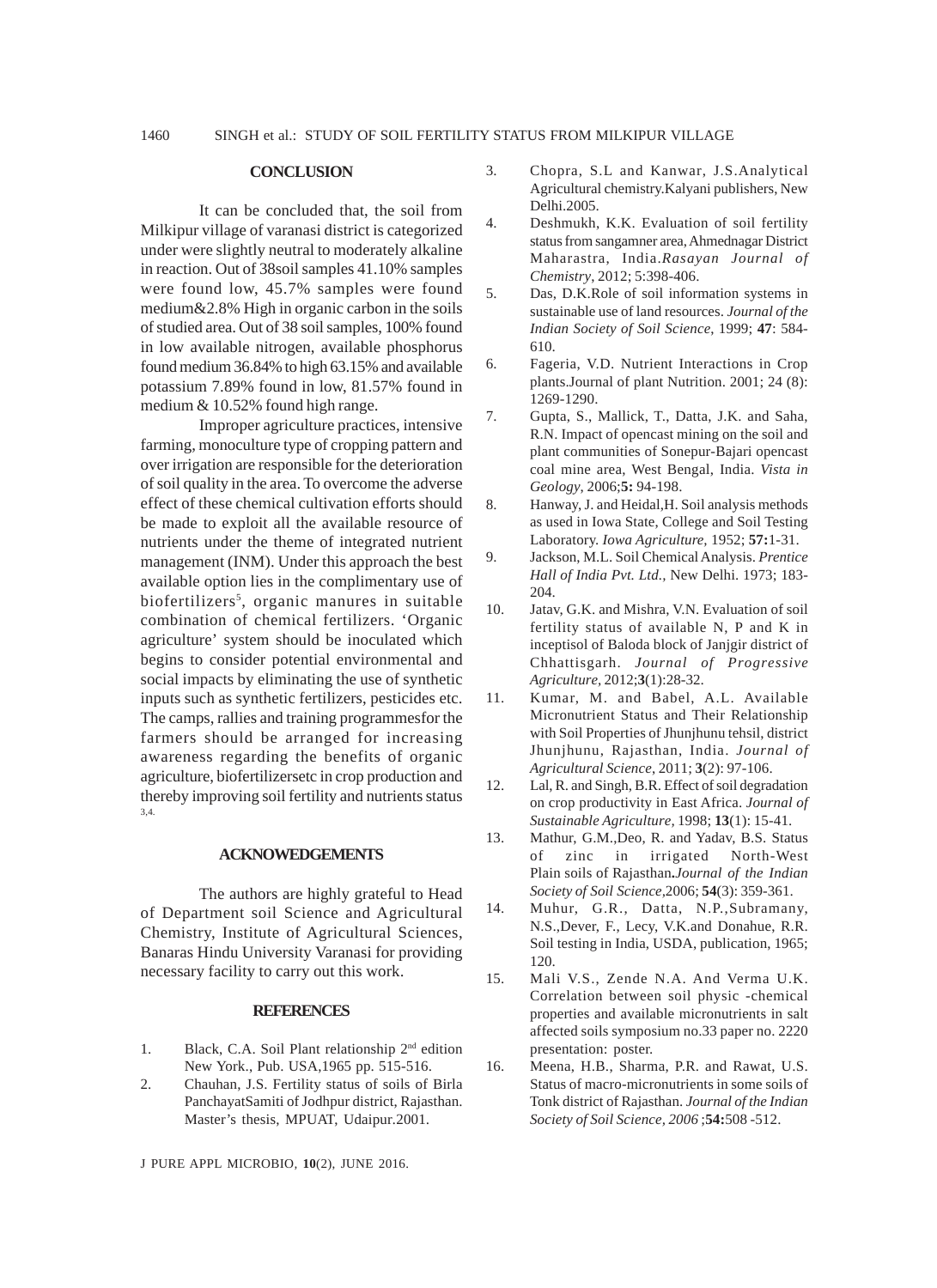### **CONCLUSION**

It can be concluded that, the soil from Milkipur village of varanasi district is categorized under were slightly neutral to moderately alkaline in reaction. Out of 38soil samples 41.10% samples were found low, 45.7% samples were found medium&2.8% High in organic carbon in the soils of studied area. Out of 38 soil samples, 100% found in low available nitrogen, available phosphorus found medium 36.84% to high 63.15% and available potassium 7.89% found in low, 81.57% found in medium & 10.52% found high range.

Improper agriculture practices, intensive farming, monoculture type of cropping pattern and over irrigation are responsible for the deterioration of soil quality in the area. To overcome the adverse effect of these chemical cultivation efforts should be made to exploit all the available resource of nutrients under the theme of integrated nutrient management (INM). Under this approach the best available option lies in the complimentary use of biofertilizers<sup>5</sup>, organic manures in suitable combination of chemical fertilizers. 'Organic agriculture' system should be inoculated which begins to consider potential environmental and social impacts by eliminating the use of synthetic inputs such as synthetic fertilizers, pesticides etc. The camps, rallies and training programmesfor the farmers should be arranged for increasing awareness regarding the benefits of organic agriculture, biofertilizersetc in crop production and thereby improving soil fertility and nutrients status 3,4.

#### **ACKNOWEDGEMENTS**

The authors are highly grateful to Head of Department soil Science and Agricultural Chemistry, Institute of Agricultural Sciences, Banaras Hindu University Varanasi for providing necessary facility to carry out this work.

## **REFERENCES**

- 1. Black, C.A. Soil Plant relationship 2<sup>nd</sup> edition New York., Pub. USA,1965 pp. 515-516.
- 2. Chauhan, J.S. Fertility status of soils of Birla PanchayatSamiti of Jodhpur district, Rajasthan. Master's thesis, MPUAT, Udaipur*.*2001.

J PURE APPL MICROBIO*,* **10**(2), JUNE 2016.

- 3. Chopra, S.L and Kanwar, J.S.Analytical Agricultural chemistry.Kalyani publishers, New Delhi.2005.
- 4. Deshmukh, K.K. Evaluation of soil fertility status from sangamner area, Ahmednagar District Maharastra, India.*Rasayan Journal of Chemistry*, 2012; 5:398-406.
- 5. Das, D.K.Role of soil information systems in sustainable use of land resources. *Journal of the Indian Society of Soil Science*, 1999; **47**: 584- 610.
- 6. Fageria, V.D. Nutrient Interactions in Crop plants.Journal of plant Nutrition. 2001; 24 (8): 1269-1290.
- 7. Gupta, S., Mallick, T., Datta, J.K. and Saha, R.N. Impact of opencast mining on the soil and plant communities of Sonepur-Bajari opencast coal mine area, West Bengal, India. *Vista in Geology*, 2006;**5:** 94-198.
- 8. Hanway, J. and Heidal,H. Soil analysis methods as used in Iowa State, College and Soil Testing Laboratory. *Iowa Agriculture,* 1952; **57:**1-31.
- 9. Jackson, M.L. Soil Chemical Analysis. *Prentice Hall of India Pvt. Ltd.,* New Delhi. 1973; 183- 204.
- 10. Jatav, G.K. and Mishra, V.N. Evaluation of soil fertility status of available N, P and K in inceptisol of Baloda block of Janjgir district of Chhattisgarh. *Journal of Progressive Agriculture,* 2012;**3**(1):28-32.
- 11. Kumar, M. and Babel, A.L. Available Micronutrient Status and Their Relationship with Soil Properties of Jhunjhunu tehsil, district Jhunjhunu, Rajasthan, India. *Journal of Agricultural Science*, 2011; **3**(2): 97-106.
- 12. Lal, R. and Singh, B.R. Effect of soil degradation on crop productivity in East Africa. *Journal of Sustainable Agriculture,* 1998; **13**(1): 15-41.
- 13. Mathur, G.M.,Deo, R. and Yadav, B.S. Status of zinc in irrigated North-West Plain soils of Rajasthan**.***Journal of the Indian Society of Soil Science,*2006; **54**(3): 359-361.
- 14. Muhur, G.R., Datta, N.P.,Subramany, N.S.,Dever, F., Lecy, V.K.and Donahue, R.R. Soil testing in India, USDA, publication, 1965; 120.
- 15. Mali V.S., Zende N.A. And Verma U.K. Correlation between soil physic -chemical properties and available micronutrients in salt affected soils symposium no.33 paper no. 2220 presentation: poster.
- 16. Meena, H.B., Sharma, P.R. and Rawat, U.S. Status of macro-micronutrients in some soils of Tonk district of Rajasthan. *Journal of the Indian Society of Soil Science, 2006* ;**54:**508 -512.